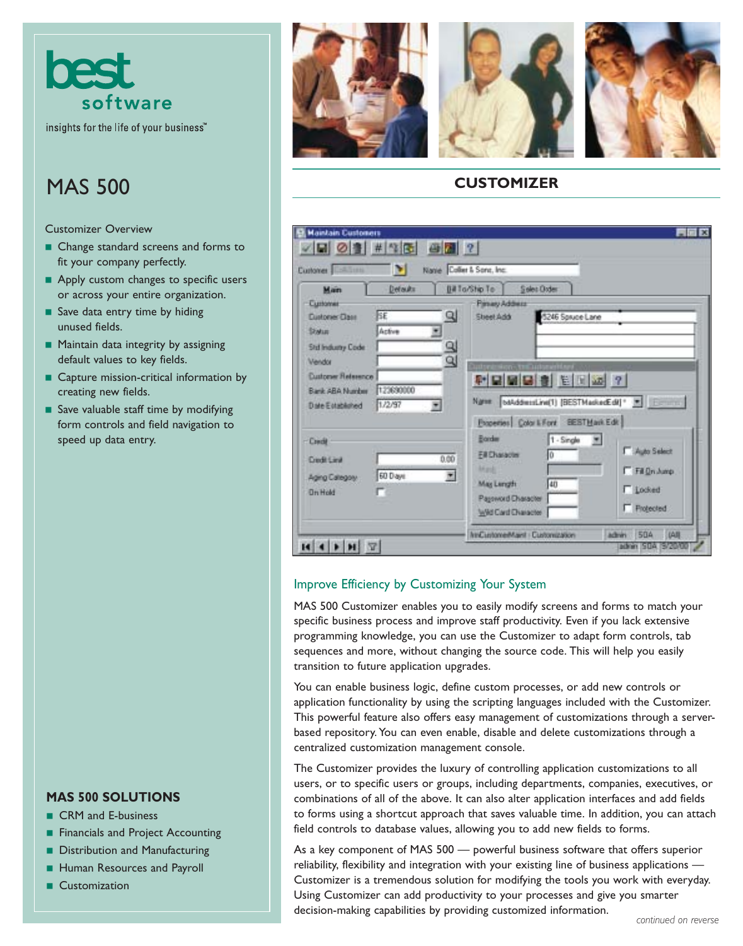

# MAS 500

Customizer Overview

- Change standard screens and forms to fit your company perfectly.
- Apply custom changes to specific users or across your entire organization.
- Save data entry time by hiding unused fields.
- Maintain data integrity by assigning default values to key fields.
- Capture mission-critical information by creating new fields.
- Save valuable staff time by modifying form controls and field navigation to speed up data entry.

## **MAS 500 SOLUTIONS**

- CRM and E-business
- Financials and Project Accounting
- Distribution and Manufacturing
- Human Resources and Payroll
- Customization







## **CUSTOMIZER**

| Customer   <b>Ball</b><br>Main                                                            | ы<br>Defaults        | Name Coller & Sono, Inc.<br>Bill Ta/Ship To:                                                                    | Sales Oxfer                                                                                       |                                                               |
|-------------------------------------------------------------------------------------------|----------------------|-----------------------------------------------------------------------------------------------------------------|---------------------------------------------------------------------------------------------------|---------------------------------------------------------------|
| Customer<br><b>Customer Class</b><br>Sivius<br><b>Std Indumy Code</b>                     | lsε<br>Active        | <b>Finary Address</b><br>Q<br>Sheet Add<br>व<br>व                                                               | 5246 Spruce Lane                                                                                  |                                                               |
| <b>Vendor</b><br><b>Customer Relevence</b><br>Bank ABA Number<br><b>Diste Established</b> | 123690000<br>1.72/97 | Name                                                                                                            | Cutter in Non- the Cutter and Are<br><b>어디테더러 비데쓰 ?</b><br>Properties Color LiFord BEST Mark Edit |                                                               |
| <b>Credit</b><br><b>Credit Circl</b><br>Aging Calegory<br><b>Un Hold</b>                  | 60 Days              | Border<br>Fill Character<br>0.00<br><b>Mark</b><br>固<br>May Length<br>Pageword Diaracter<br>Wild Card Character | 1 - Single<br>lб<br>40                                                                            | F Auto Select<br>Fil On Amp<br><b>T</b> Locked<br>F Protected |

## Improve Efficiency by Customizing Your System

MAS 500 Customizer enables you to easily modify screens and forms to match your specific business process and improve staff productivity. Even if you lack extensive programming knowledge, you can use the Customizer to adapt form controls, tab sequences and more, without changing the source code. This will help you easily transition to future application upgrades.

You can enable business logic, define custom processes, or add new controls or application functionality by using the scripting languages included with the Customizer. This powerful feature also offers easy management of customizations through a serverbased repository. You can even enable, disable and delete customizations through a centralized customization management console.

The Customizer provides the luxury of controlling application customizations to all users, or to specific users or groups, including departments, companies, executives, or combinations of all of the above. It can also alter application interfaces and add fields to forms using a shortcut approach that saves valuable time. In addition, you can attach field controls to database values, allowing you to add new fields to forms.

As a key component of MAS 500 — powerful business software that offers superior reliability, flexibility and integration with your existing line of business applications — Customizer is a tremendous solution for modifying the tools you work with everyday. Using Customizer can add productivity to your processes and give you smarter decision-making capabilities by providing customized information. *continued on reverse*